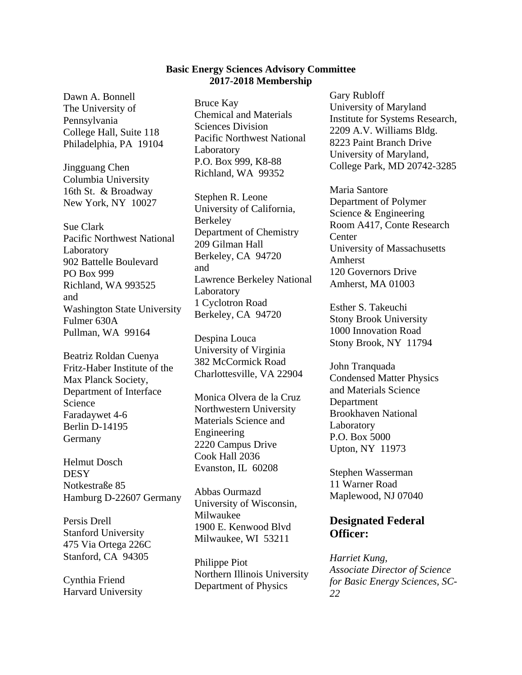## **Basic Energy Sciences Advisory Committee 2017-2018 Membership**

Dawn A. Bonnell The University of Pennsylvania College Hall, Suite 118 Philadelphia, PA 19104

Jingguang Chen Columbia University 16th St. & Broadway New York, NY 10027

Sue Clark Pacific Northwest National Laboratory 902 Battelle Boulevard PO Box 999 Richland, WA 993525 and Washington State University Fulmer 630A Pullman, WA 99164

Beatriz Roldan Cuenya Fritz-Haber Institute of the Max Planck Society, Department of Interface Science Faradaywet 4-6 Berlin D-14195 Germany

Helmut Dosch **DESY** Notkestraße 85 Hamburg D-22607 Germany

Persis Drell Stanford University 475 Via Ortega 226C Stanford, CA 94305

Cynthia Friend Harvard University Bruce Kay Chemical and Materials Sciences Division Pacific Northwest National Laboratory P.O. Box 999, K8-88 Richland, WA 99352

Stephen R. Leone University of California, Berkeley Department of Chemistry 209 Gilman Hall Berkeley, CA 94720 and Lawrence Berkeley National Laboratory 1 Cyclotron Road Berkeley, CA 94720

Despina Louca University of Virginia 382 McCormick Road Charlottesville, VA 22904

Monica Olvera de la Cruz Northwestern University Materials Science and Engineering 2220 Campus Drive Cook Hall 2036 Evanston, IL 60208

Abbas Ourmazd University of Wisconsin, Milwaukee 1900 E. Kenwood Blvd Milwaukee, WI 53211

Philippe Piot Northern Illinois University Department of Physics

Gary Rubloff University of Maryland Institute for Systems Research, 2209 A.V. Williams Bldg. 8223 Paint Branch Drive University of Maryland, College Park, MD 20742-3285

Maria Santore Department of Polymer Science & Engineering Room A417, Conte Research **Center** University of Massachusetts Amherst 120 Governors Drive Amherst, MA 01003

Esther S. Takeuchi Stony Brook University 1000 Innovation Road Stony Brook, NY 11794

John Tranquada Condensed Matter Physics and Materials Science Department Brookhaven National Laboratory P.O. Box 5000 Upton, NY 11973

Stephen Wasserman 11 Warner Road Maplewood, NJ 07040

## **Designated Federal Officer:**

*Harriet Kung, Associate Director of Science for Basic Energy Sciences, SC-22*